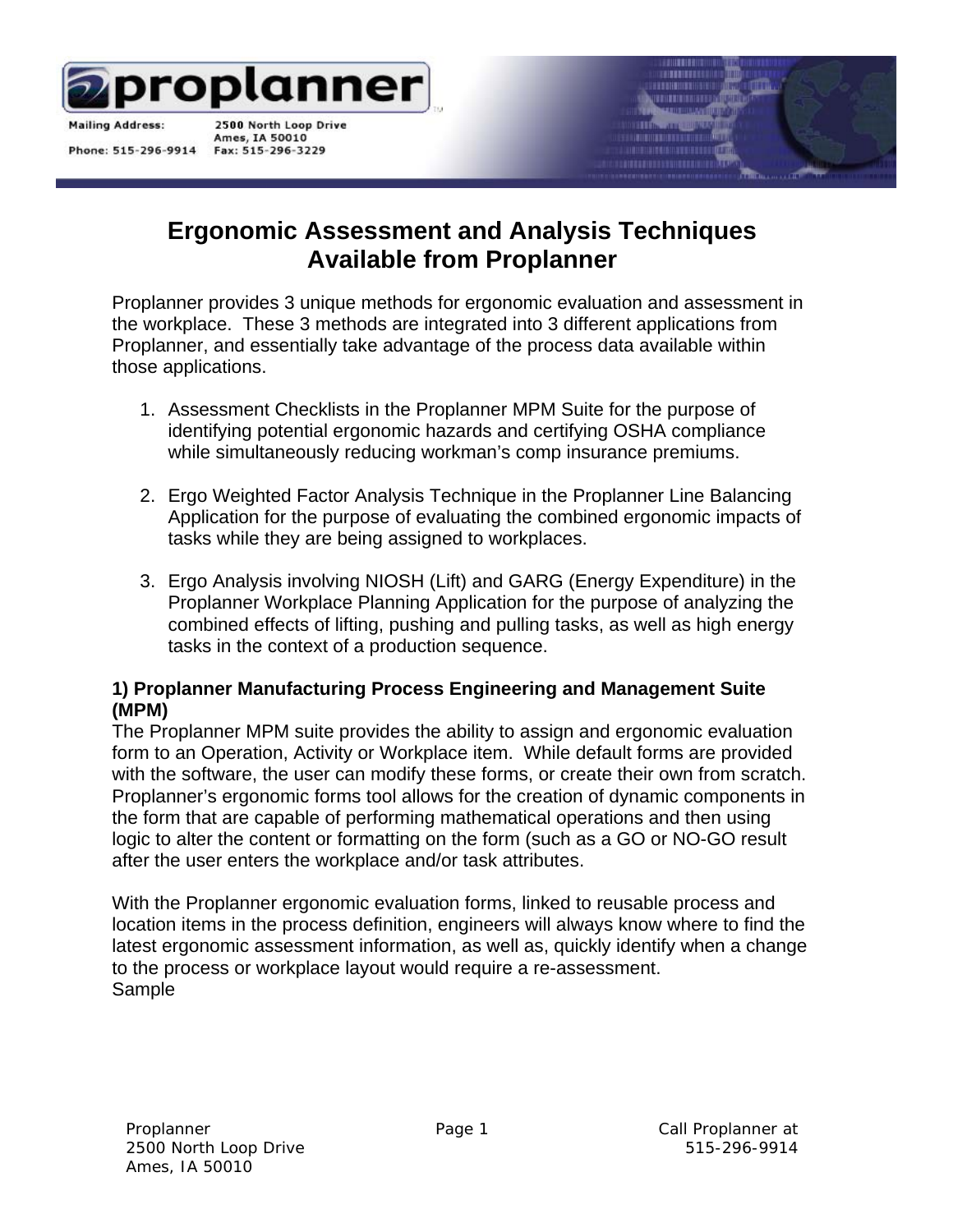

**Mailing Address:** 

Phone: 515-296-9914

2500 North Loop Drive Ames, IA 50010 Fax: 515-296-3229

# **Ergonomic Assessment and Analysis Techniques Available from Proplanner**

Proplanner provides 3 unique methods for ergonomic evaluation and assessment in the workplace. These 3 methods are integrated into 3 different applications from Proplanner, and essentially take advantage of the process data available within those applications.

- 1. Assessment Checklists in the Proplanner MPM Suite for the purpose of identifying potential ergonomic hazards and certifying OSHA compliance while simultaneously reducing workman's comp insurance premiums.
- 2. Ergo Weighted Factor Analysis Technique in the Proplanner Line Balancing Application for the purpose of evaluating the combined ergonomic impacts of tasks while they are being assigned to workplaces.
- 3. Ergo Analysis involving NIOSH (Lift) and GARG (Energy Expenditure) in the Proplanner Workplace Planning Application for the purpose of analyzing the combined effects of lifting, pushing and pulling tasks, as well as high energy tasks in the context of a production sequence.

#### **1) Proplanner Manufacturing Process Engineering and Management Suite (MPM)**

The Proplanner MPM suite provides the ability to assign and ergonomic evaluation form to an Operation, Activity or Workplace item. While default forms are provided with the software, the user can modify these forms, or create their own from scratch. Proplanner's ergonomic forms tool allows for the creation of dynamic components in the form that are capable of performing mathematical operations and then using logic to alter the content or formatting on the form (such as a GO or NO-GO result after the user enters the workplace and/or task attributes.

With the Proplanner ergonomic evaluation forms, linked to reusable process and location items in the process definition, engineers will always know where to find the latest ergonomic assessment information, as well as, quickly identify when a change to the process or workplace layout would require a re-assessment. Sample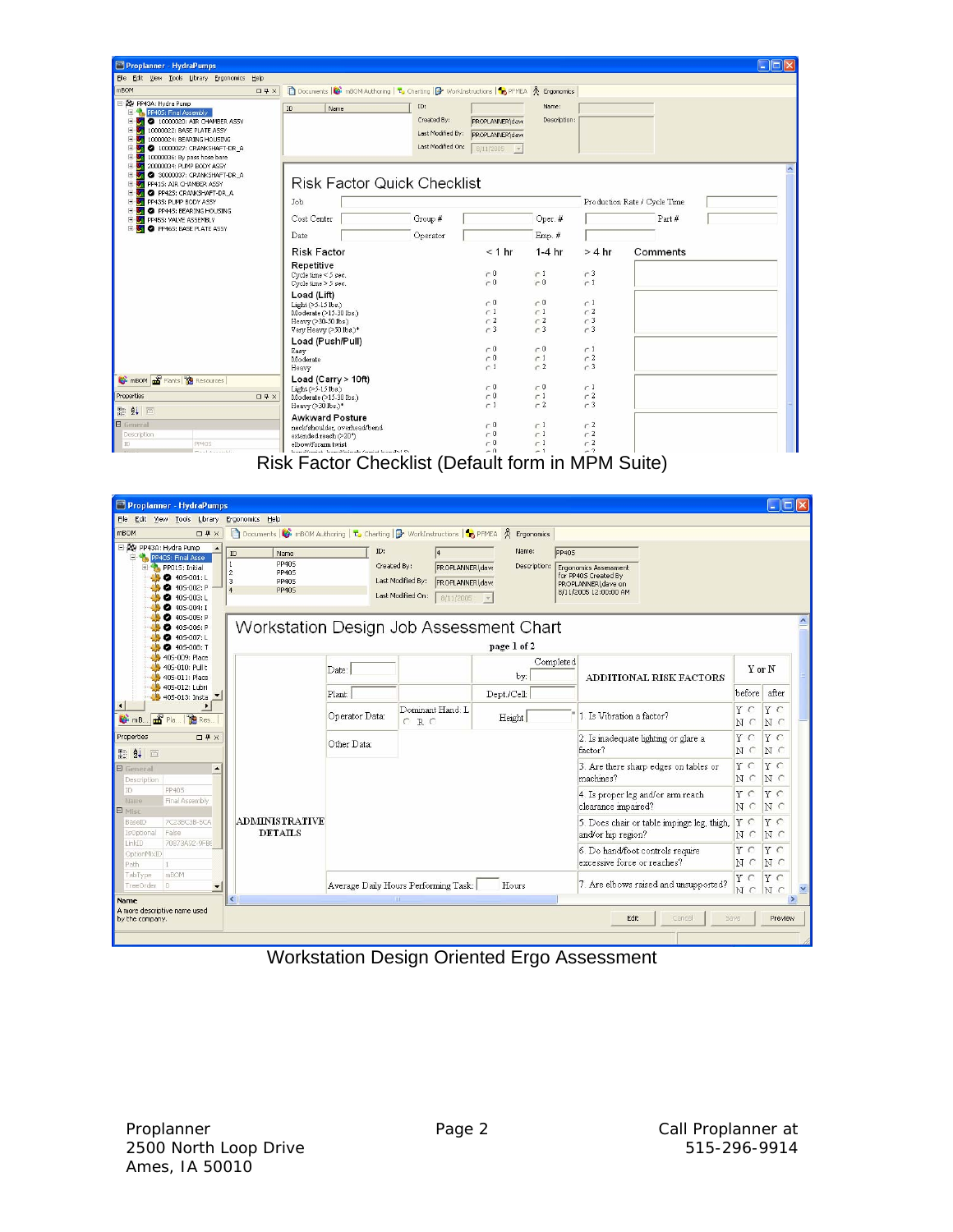| Proplanner - HydraPumps                                                                                                                                                                                                                                   |                                                                                                                               |                                                                                                                     |                                                    |                                                       |                              | $\Box$ o $\mathbf{x}$ |
|-----------------------------------------------------------------------------------------------------------------------------------------------------------------------------------------------------------------------------------------------------------|-------------------------------------------------------------------------------------------------------------------------------|---------------------------------------------------------------------------------------------------------------------|----------------------------------------------------|-------------------------------------------------------|------------------------------|-----------------------|
| File Edit View Tools Library Ergonomics Help                                                                                                                                                                                                              |                                                                                                                               |                                                                                                                     |                                                    |                                                       |                              |                       |
| mBOM<br>$\Box$ <sup>1</sup> ×                                                                                                                                                                                                                             | Documents <b>B</b> mBOM Authoring <b>T</b> , Charting <b>B</b> WorkInstructions <b>1</b> PFMEA $\hat{\mathcal{R}}$ Ergonomics |                                                                                                                     |                                                    |                                                       |                              |                       |
| PP43A: Hydra Pump<br><b>FLA</b> PP405: Final Assembly<br>10000020: AIR CHAMBER ASSY<br>庚<br>С.<br>10000022: BASE PLATE ASSY<br>U.<br>10000024: BEARING HOUSING<br>审<br><b>SS</b><br>庚<br>2 10000027: CRANKSHAFT-DR_A<br>10000036: By pass hose bare<br>U. | ID<br>Name                                                                                                                    | ID:<br>Created By:<br>PROPLANNER\dave<br>Last Modified By:<br>PROPLANNERIdave<br>Last Modified On:<br>$8/11/2005$ - | Name:<br>Description:                              |                                                       |                              |                       |
| 田崎<br>20000034: PUMP BODY ASSY<br>宙<br>U.<br>2 30000037: CRANKSHAFT-DR A<br>PP415: AIR CHAMBER ASSY<br>U.<br>PP425: CRANKSHAFT-DR_A<br>F.<br>U.<br>PP435: PUMP BODY ASSY<br>庚<br>X.<br>PP445: BEARING HOUSING                                             | <b>Risk Factor Quick Checklist</b><br>Job                                                                                     |                                                                                                                     |                                                    |                                                       | Production Rate / Cycle Time |                       |
| U.<br>PP455: VALVE ASSEMBLY<br>肁<br>U.                                                                                                                                                                                                                    | Cost Center                                                                                                                   | Group #                                                                                                             | Oper. #                                            |                                                       | Part#                        |                       |
| PP465: BASE PLATE ASSY<br><b>F 30</b>                                                                                                                                                                                                                     | Date                                                                                                                          | Operator                                                                                                            | Emp. #                                             |                                                       |                              |                       |
|                                                                                                                                                                                                                                                           |                                                                                                                               |                                                                                                                     |                                                    |                                                       |                              |                       |
|                                                                                                                                                                                                                                                           | <b>Risk Factor</b>                                                                                                            | < 1 hr                                                                                                              | $1-4$ hr                                           | $>4$ hr                                               | Comments                     |                       |
|                                                                                                                                                                                                                                                           | Repetitive<br>Cycle time $\leq$ 5 sec.<br>Cycle time > 5 sec.                                                                 | $\subset 0$<br>$\sim 0$                                                                                             | $\subset$ 1<br>$\sim 0$                            | $-3$<br>$\sim$ 1                                      |                              |                       |
|                                                                                                                                                                                                                                                           | Load (Lift)<br>Light (>5-15 lbs.)<br>Moderate (>15-30 lbs.)<br>Heavy (>30-50 lbs.)<br>Very Heavy (>50 lbs.)*                  | $\sim 0$<br>c1<br>c2<br>$\sim$ 3                                                                                    | $\cap 0$<br>c <sub>1</sub><br>c2<br>c <sub>3</sub> | $\sim$ 1<br>c <sub>2</sub><br>$\sim$ 3<br>$\subset 3$ |                              |                       |
|                                                                                                                                                                                                                                                           | Load (Push/Pull)<br>Easy<br>Moderate<br>Heavy                                                                                 | $\sim 0$<br>$\sim 0$<br>$\sim$ 1                                                                                    | $\subset 0$<br>$\sim$ 1<br>$\subset 2$             | $\cap$ 1<br>$\subset 2$<br>$-3$                       |                              |                       |
| mBOM <b>m</b> <sup>2</sup> Plants <sup>e</sup> Resources                                                                                                                                                                                                  | Load (Carry $> 10ft$ )<br>$Light ( > 5-15$ lbs.)                                                                              | r <sub>0</sub>                                                                                                      | $\sim 0$                                           | $\subset$ 1                                           |                              |                       |
| Properties<br>$\Box$ <sup><math>\uparrow</math></sup> $\times$                                                                                                                                                                                            | Moderate (>15-30 lbs.)<br>Heavy (>30 lbs.)*                                                                                   | $\subset 0$<br>$-1$                                                                                                 | $\subset$ 1<br>$-2$                                | r <sub>2</sub><br>$-3$                                |                              |                       |
| ■ ま 画<br><b>B</b> General                                                                                                                                                                                                                                 | <b>Awkward Posture</b>                                                                                                        |                                                                                                                     |                                                    | $\subset 2$                                           |                              |                       |
| Description                                                                                                                                                                                                                                               | neck/shoulder, overhead/bend<br>extended reach (>20")                                                                         | $\cap$ 0<br>$\cap$ 0                                                                                                | $\subset$ 1<br>$\subset$ 1                         | $\subset 2$                                           |                              |                       |
| PP405<br>ID<br>Point Associated                                                                                                                                                                                                                           | elbow/forarm twist<br>team difference to the individuals formulate team disc fills                                            | $\cap 0$<br>$-0$                                                                                                    | $\subset$ 1<br>$-1$                                | $-2$<br>$-2$                                          |                              |                       |

Risk Factor Checklist (Default form in MPM Suite)

| Proplanner - HydraPumps                                                                                                                                               |                                                                                                                                             |                 |                                                                                                                 |                       |                                                                                                       |                                            |                   | $\Box$ o $\times$                       |  |
|-----------------------------------------------------------------------------------------------------------------------------------------------------------------------|---------------------------------------------------------------------------------------------------------------------------------------------|-----------------|-----------------------------------------------------------------------------------------------------------------|-----------------------|-------------------------------------------------------------------------------------------------------|--------------------------------------------|-------------------|-----------------------------------------|--|
| Edit View Tools Library Ergonomics Help<br>File                                                                                                                       |                                                                                                                                             |                 |                                                                                                                 |                       |                                                                                                       |                                            |                   |                                         |  |
| mBOM<br>$\Box$ <sup><math>\uparrow</math></sup> $\times$                                                                                                              | Documents $\bigcirc$ mBOM Authoring $\vert \tau$ , Charting $\vert \mathbf{P}$ WorkInstructions $\vert \tau$ PFMEA $\mathcal{R}$ Ergonomics |                 |                                                                                                                 |                       |                                                                                                       |                                            |                   |                                         |  |
| El AV PP43A: Hydra Pump<br>PP405: Final Asse<br>自<br>1<br>PP015: Initial<br>H.<br>$\overline{c}$<br>$405 - 001: L$<br>405-002: P -<br>۰<br>2 405-003: L<br>405-004: I | ID<br>Name<br>PP40S<br>PP40S<br>$\overline{3}$<br>PP40S<br><b>PP405</b>                                                                     | ID:             | Created By:<br>PROPLANNER\dave<br>Last Modified By:<br><b>PROPLANNER\dave</b><br>Last Modified On:<br>8/11/2005 | Name:<br>Description: | PP40S<br>Ergonomics Assessment<br>for PP405 Created By<br>PROPLANNER\dave on<br>8/11/2005 12:00:00 AM |                                            |                   |                                         |  |
| 405-005: P<br>a<br>405-006: P<br>405-007: L<br>405-008: T                                                                                                             | Workstation Design Job Assessment Chart                                                                                                     |                 |                                                                                                                 | page 1 of 2           |                                                                                                       |                                            |                   |                                         |  |
| 40S-009: Place<br>405-010: Pull t<br>405-011: Place<br>405-012: Lubri                                                                                                 |                                                                                                                                             | Date:<br>Plant: |                                                                                                                 | by:                   | Completed                                                                                             | ADDITIONAL RISK FACTORS                    |                   | Y or N                                  |  |
| 405-013: Insta<br>$\left  \right $<br>mB <b>and</b> Pla <b>Re</b> Res.                                                                                                |                                                                                                                                             |                 | Dominant Hand: L<br>CRC                                                                                         | Dept./Cell:<br>Height |                                                                                                       | 1 Is Vibration a factor?                   |                   | before<br>after<br>YC<br>N <sub>c</sub> |  |
| Properties<br>$\Box$ <sup><math>\uparrow</math></sup> $\times$<br>■ 11回                                                                                               |                                                                                                                                             | Other Data:     |                                                                                                                 |                       | 2. Is inadequate lighting or glare a<br>factor?                                                       |                                            | Y C<br>N C        | $Y \subset$<br>NC                       |  |
| <b>E</b> General<br>$\blacktriangle$<br>Description                                                                                                                   |                                                                                                                                             |                 |                                                                                                                 |                       | machines?                                                                                             | 3. Are there sharp edges on tables or      | YC<br>N C         | Y C<br>$N \subset$                      |  |
| PP405<br>ID<br>Final Assembly<br>Name<br>$\Box$<br>Misc                                                                                                               |                                                                                                                                             |                 |                                                                                                                 |                       | 4. Is proper leg and/or arm reach<br>clearance impaired?                                              |                                            | YC<br>N C         | YC<br>N C                               |  |
| 7C23BC3B-5CA<br>BaseID<br>False<br>IsOptional<br>70873A92-9FB6                                                                                                        | <b>ADMINISTRATIVE</b><br><b>DETAILS</b>                                                                                                     |                 |                                                                                                                 |                       | and/or hip region?                                                                                    | 5. Does chair or table impinge leg, thigh, | YC<br>$N \subset$ | YC<br>$N \subset$                       |  |
| LinkID<br>OptionMixID<br>Path<br>$\pm$                                                                                                                                |                                                                                                                                             |                 |                                                                                                                 |                       | 6. Do hand/foot controls require<br>excessive force or reaches?                                       |                                            | YC<br>$N \subset$ | $Y \subset$<br>N <sub>c</sub>           |  |
| mBOM<br>TabType<br>$\Box$<br>TreeOrder                                                                                                                                |                                                                                                                                             |                 | Average Daily Hours Performing Task:<br><b>THE</b>                                                              | Hours                 |                                                                                                       | 7. Are elbows raised and unsupported?      | YC<br>NC          | YC<br>NC                                |  |
| Name<br>A more descriptive name used<br>by the company.                                                                                                               |                                                                                                                                             |                 |                                                                                                                 |                       | Edit.                                                                                                 | Cancel                                     | Save              | Preview                                 |  |
|                                                                                                                                                                       |                                                                                                                                             |                 |                                                                                                                 |                       |                                                                                                       |                                            |                   |                                         |  |

Workstation Design Oriented Ergo Assessment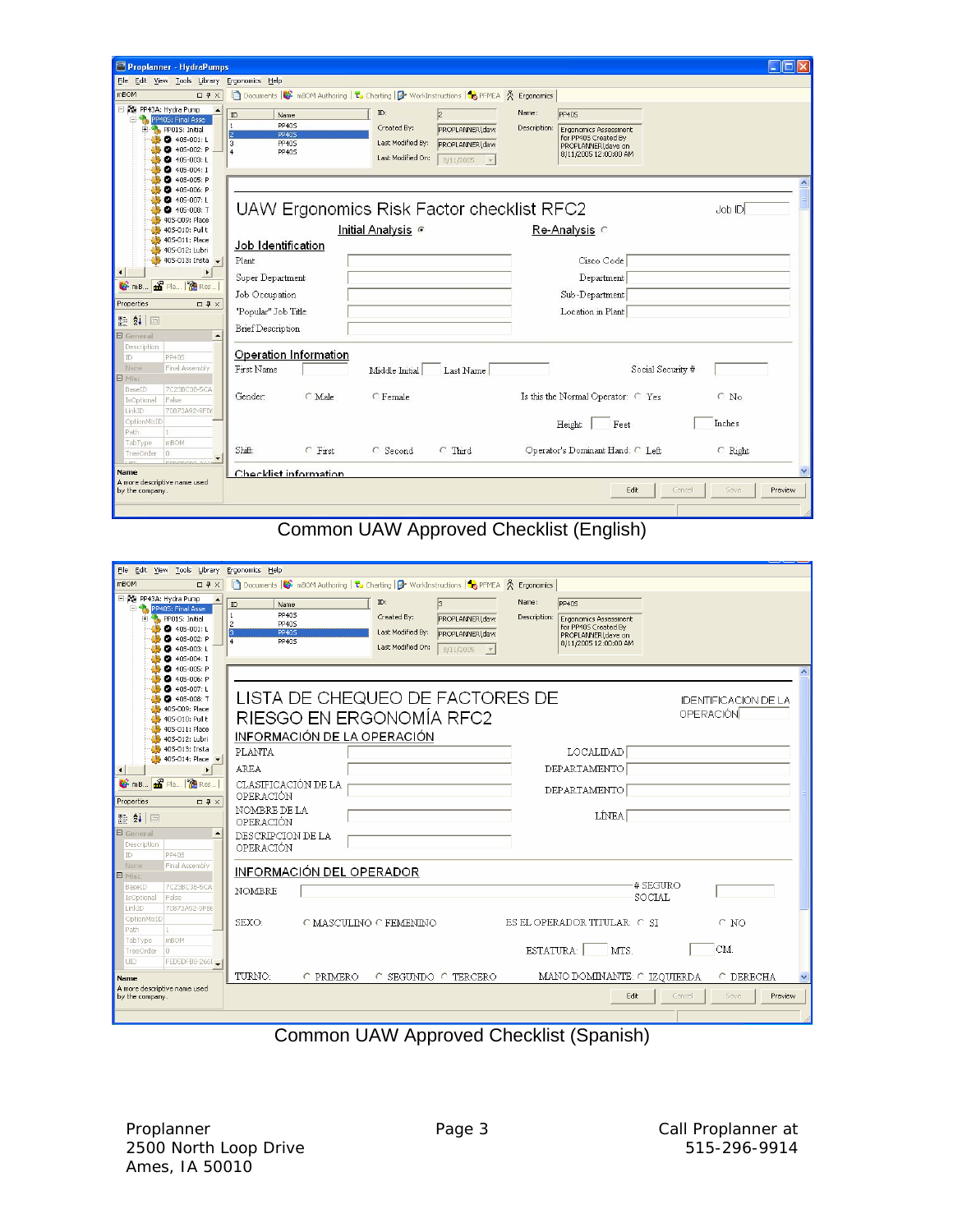| Proplanner - HydraPumps                                                                                                              |                                                                                           |                                                                                                                                               |                                                                                                                                       | $\Box$ ok                 |
|--------------------------------------------------------------------------------------------------------------------------------------|-------------------------------------------------------------------------------------------|-----------------------------------------------------------------------------------------------------------------------------------------------|---------------------------------------------------------------------------------------------------------------------------------------|---------------------------|
| File Edit View Tools Library Ergonomics Help                                                                                         |                                                                                           |                                                                                                                                               |                                                                                                                                       |                           |
| mBOM<br>$\Box$ <sup><math>\Box</math></sup> $\times$                                                                                 |                                                                                           | Documents $\bigcirc$ mBOM Authoring $\mathsf{t}_2$ Charting $\bigcirc$ WorkInstructions $\bigcirc$ PFMEA $\mathsf{A}$ Ergonomics              |                                                                                                                                       |                           |
| PP43A: Hydra Pump<br>Ėŀ<br>PP405: Final Asse<br>PP015: Initial<br>Ŧ<br>$405 - 001: L$<br>405-002: P<br>$405 - 003$ : L<br>405-004: I | ID<br>Name<br>1<br><b>PP405</b><br><b>PP405</b><br><b>PP405</b><br>3<br>4<br><b>PP405</b> | ID:<br>$\overline{2}$<br>Created By:<br>PROPLANNER\dave<br>Last Modified By:<br>PROPLANNER\dave<br>Last Modified On:<br>$8/11/2005$ $\bullet$ | Name:<br><b>PP405</b><br>Description:<br>Ergonomics Assessment<br>for PP405 Created By<br>PROPLANNER\dave on<br>8/11/2005 12:00:00 AM |                           |
| 2 405-005: P<br>405-006: P<br>405-007: L<br>405-008: T<br>405-009: Place                                                             |                                                                                           | UAW Ergonomics Risk Factor checklist RFC2                                                                                                     |                                                                                                                                       | Job ID                    |
| 405-010: Pull t                                                                                                                      |                                                                                           | Initial Analysis                                                                                                                              | Re-Analysis C                                                                                                                         |                           |
| 405-011: Place<br>405-012: Lubri<br>$405-013$ : Insta                                                                                | Job Identification<br>Plant                                                               |                                                                                                                                               | Cisco Code                                                                                                                            |                           |
|                                                                                                                                      | Super Department                                                                          |                                                                                                                                               | Department                                                                                                                            |                           |
| <b>G</b> mB <b>B</b> Pla <b>B</b> Res                                                                                                |                                                                                           |                                                                                                                                               |                                                                                                                                       |                           |
| Properties<br>$\Box$ <sup><math>\uparrow</math></sup> $\times$                                                                       | Job Occupation                                                                            |                                                                                                                                               | Sub-Department                                                                                                                        |                           |
|                                                                                                                                      | "Popular" Job Title                                                                       |                                                                                                                                               | Location in Plant                                                                                                                     |                           |
| 開 ま 画<br><b>E</b> General<br>$\blacktriangle$                                                                                        | <b>Brief Description</b>                                                                  |                                                                                                                                               |                                                                                                                                       |                           |
| Description<br>PP405<br>ID                                                                                                           | Operation Information                                                                     |                                                                                                                                               |                                                                                                                                       |                           |
| Final Assembly<br>Name<br>E<br>Misc                                                                                                  | First Name                                                                                | Last Name<br>Middle Initial                                                                                                                   | Social Security #                                                                                                                     |                           |
| 7C23BC3B-5CA<br>BaseID<br>False<br>IsOptional                                                                                        | C Male<br>Gender:                                                                         | C Female                                                                                                                                      | Is this the Normal Operator: C Yes                                                                                                    | $\subset N_0$             |
| LinkID<br>70873A92-9FB6                                                                                                              |                                                                                           |                                                                                                                                               |                                                                                                                                       |                           |
| OptionMixID<br>Path<br>1                                                                                                             |                                                                                           |                                                                                                                                               | Feet<br>Height:                                                                                                                       | Inches                    |
| mBOM<br>TabType<br>n<br>TreeOrder<br>FEBEREDO OCCIA                                                                                  | $C$ First<br>Shift:                                                                       | $\subset$ Third<br>$C$ Second                                                                                                                 | Operator's Dominant Hand: C Left                                                                                                      | C Right                   |
| <b>Name</b>                                                                                                                          | Checklist information                                                                     |                                                                                                                                               |                                                                                                                                       |                           |
| A more descriptive name used<br>by the company.                                                                                      |                                                                                           |                                                                                                                                               | Edit                                                                                                                                  | Cancel<br>Save<br>Preview |
|                                                                                                                                      |                                                                                           |                                                                                                                                               |                                                                                                                                       |                           |

# Common UAW Approved Checklist (English)

| File Edit View Tools Library Ergonomics Help                                                                                                                                   |                                                                                                                                                                                                                                                                                                                                                                                   |
|--------------------------------------------------------------------------------------------------------------------------------------------------------------------------------|-----------------------------------------------------------------------------------------------------------------------------------------------------------------------------------------------------------------------------------------------------------------------------------------------------------------------------------------------------------------------------------|
| mBOM<br>$\Box 4 \times$                                                                                                                                                        | Documents <b>&amp;</b> mBOM Authoring <b>to</b> Charting <b>&amp;</b> WorkInstructions <b>&amp;</b> PFMEA <b>A</b> Ergonomics                                                                                                                                                                                                                                                     |
| 日 图 PP43A: Hydra Pump<br>PP405: Final Asse<br>PP015: Initial<br>$\bullet$ 405-001: L<br>$405-002: P$<br>$405 - 003$ : L<br>$405 - 004$ : I                                     | ID:<br>Name:<br>$\overline{3}$<br>PP405<br>ID<br>Name<br><b>PP405</b><br>Created By:<br>Description:<br>PROPLANNER\dave<br>Ergonomics Assessment<br>PP405<br>2<br>for PP405 Created By<br>Last Modified By:<br><b>PP405</b><br>PROPLANNER\dave<br>PROPLANNER\dave on<br>$\overline{4}$<br><b>PP405</b><br>8/11/2005 12:00:00 AM<br>Last Modified On:<br>$8/11/2005$ $\rightarrow$ |
| 40S-005: P<br>405-006: P<br>$405-007: L$<br>405-008: T<br>405-009: Place<br>405-010: Pull t<br>405-011: Place<br>405-012: Lubri                                                | LISTA DE CHEQUEO DE FACTORES DE<br><b>IDENTIFICACION DE LA</b><br>OPERACIÓN<br>RIESGO EN ERGONOMÍA RFC2<br>INFORMACIÓN DE LA OPERACIÓN                                                                                                                                                                                                                                            |
| 405-013: Insta<br>405-014: Place v<br>$\blacktriangleright$<br>$\left  \cdot \right $<br><b>G</b> mB <b>B</b> Pla   <b>B</b> Res<br>Properties<br>$\Box$ <sup>1</sup> $\times$ | <b>PLANTA</b><br><b>LOCALIDAD</b><br>AREA<br>DEPARTAMENTO<br>CLASIFICACIÓN DE LA<br>DEPARTAMENTO<br>OPERACIÓN                                                                                                                                                                                                                                                                     |
| 開 纠 画<br><b>E</b> General<br>$\blacktriangle$<br>Description<br>PP40S<br>ID.                                                                                                   | NOMBRE DE LA<br>LİNEA<br>OPERACIÓN<br>DESCRIPCION DE LA<br>OPERACIÓN                                                                                                                                                                                                                                                                                                              |
| Final Assembly<br>Name<br>E Misc                                                                                                                                               | INFORMACIÓN DEL OPERADOR                                                                                                                                                                                                                                                                                                                                                          |
| 7C23BC3B-5CA<br>BaseID<br>False<br>IsOptional<br>LinkID<br>70873A92-9FB6                                                                                                       | # SEGURO<br><b>NOMBRE</b><br>SOCIAL                                                                                                                                                                                                                                                                                                                                               |
| OptionMixID<br>Path.<br>$\blacksquare$<br>mBOM<br>TabType                                                                                                                      | SEXO:<br>ES EL OPERADOR TITULAR: O SI<br>$O$ NO<br>O MASCULINO O FEMENINO                                                                                                                                                                                                                                                                                                         |
| TreeOrder<br>lo.<br><b>UID</b><br>FED5DFB8-266[                                                                                                                                | CM.<br>MTS.<br>ESTATURA:<br>TURNO:<br>MANO DOMINANTE: O IZOUIERDA<br><b>C PRIMERO</b><br><b>C DERECHA</b><br>O SEGUNDO O TERCERO                                                                                                                                                                                                                                                  |
| Name<br>A more descriptive name used<br>by the company.                                                                                                                        | Edit<br>Save<br>Preview<br>Cancel                                                                                                                                                                                                                                                                                                                                                 |

Common UAW Approved Checklist (Spanish)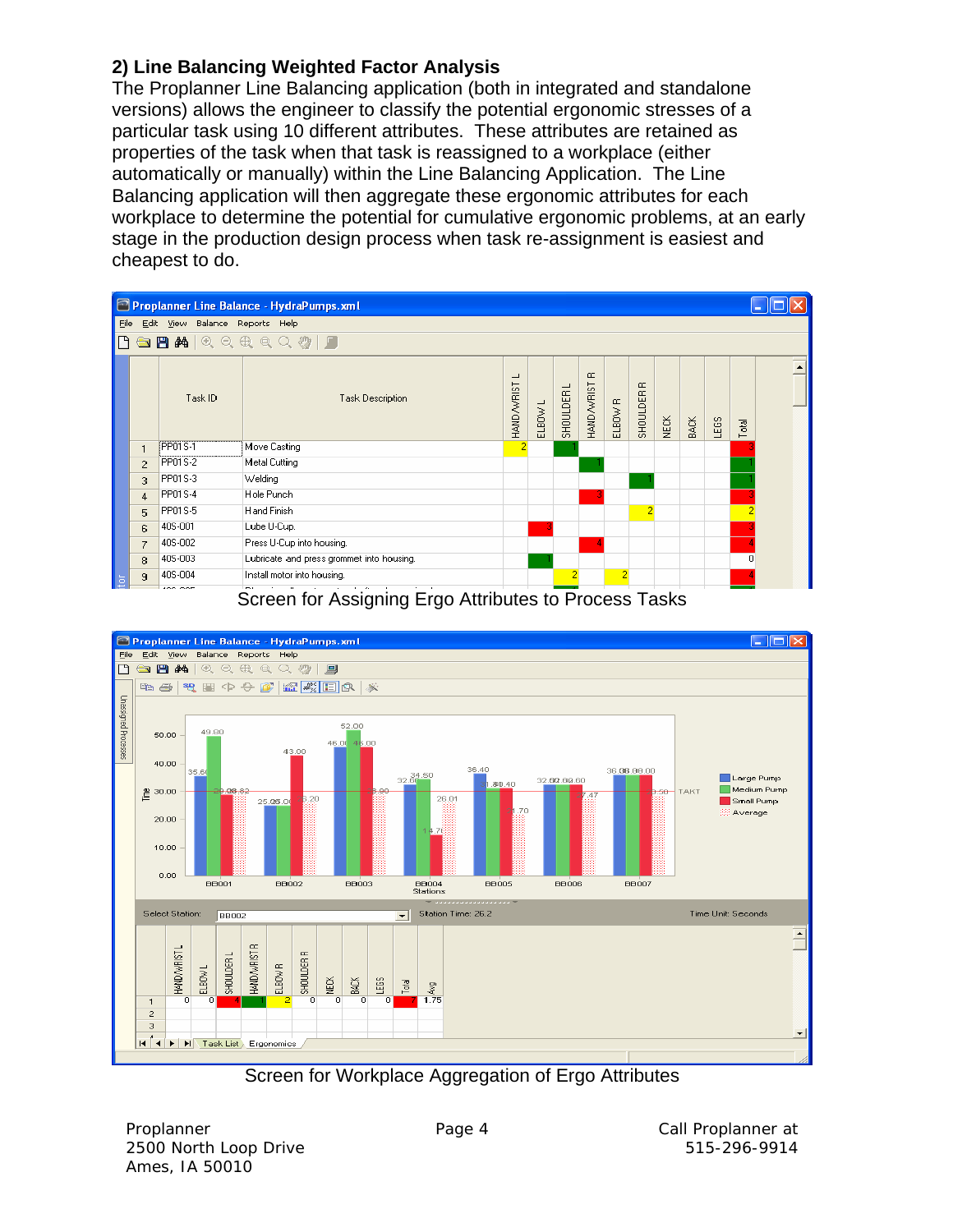## **2) Line Balancing Weighted Factor Analysis**

The Proplanner Line Balancing application (both in integrated and standalone versions) allows the engineer to classify the potential ergonomic stresses of a particular task using 10 different attributes. These attributes are retained as properties of the task when that task is reassigned to a workplace (either automatically or manually) within the Line Balancing Application. The Line Balancing application will then aggregate these ergonomic attributes for each workplace to determine the potential for cumulative ergonomic problems, at an early stage in the production design process when task re-assignment is easiest and cheapest to do.





Screen for Workplace Aggregation of Ergo Attributes